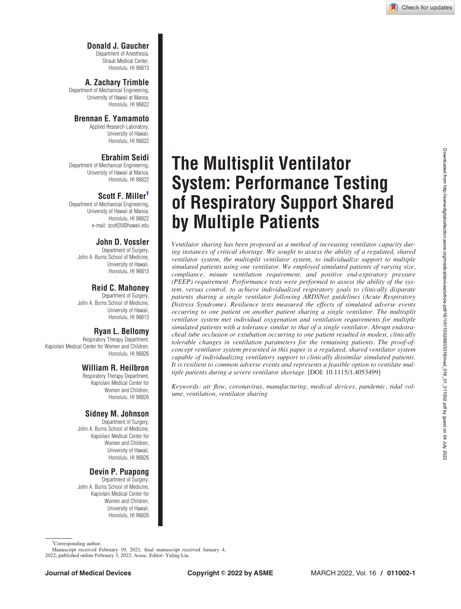## Donald J. Gaucher

Department of Anesthesia, Straub Medical Center, Honolulu, HI 96813

# A. Zachary Trimble

Department of Mechanical Engineering, University of Hawaii at Manoa, Honolulu, HI 96822

# Brennan E. Yamamoto

Applied Research Laboratory, University of Hawaii, Honolulu, HI 96822

## Ebrahim Seidi

Department of Mechanical Engineering, University of Hawaii at Manoa, Honolulu, HI 96822

# Scott F. Miller<sup>1</sup>

Department of Mechanical Engineering, University of Hawaii at Manoa, Honolulu, HI 96822 e-mail: scott20@hawaii.edu

# John D. Vossler

Department of Surgery, John A. Burns School of Medicine, University of Hawaii, Honolulu, HI 96813

# Reid C. Mahoney

Department of Surgery, John A. Burns School of Medicine, University of Hawaii, Honolulu, HI 96813

#### Ryan L. Bellomy

Respiratory Therapy Department, Kapiolani Medical Center for Women and Children, Honolulu, HI 96826

# William R. Heilbron

Respiratory Therapy Department, Kapiolani Medical Center for Women and Children, Honolulu, HI 96826

#### Sidney M. Johnson

Department of Surgery, John A. Burns School of Medicine, Kapiolani Medical Center for Women and Children University of Hawaii, Honolulu, HI 96826

# Devin P. Puapong

Department of Surgery, John A. Burns School of Medicine, Kapiolani Medical Center for Women and Children, University of Hawaii, Honolulu, HI 96826

# The Multisplit Ventilator System: Performance Testing of Respiratory Support Shared by Multiple Patients

Ventilator sharing has been proposed as a method of increasing ventilator capacity during instances of critical shortage. We sought to assess the ability of a regulated, shared ventilator system, the multisplit ventilator system, to individualize support to multiple simulated patients using one ventilator. We employed simulated patients of varying size, compliance, minute ventilation requirement, and positive end-expiratory pressure (PEEP) requirement. Performance tests were performed to assess the ability of the system, versus control, to achieve individualized respiratory goals to clinically disparate patients sharing a single ventilator following ARDSNet guidelines (Acute Respiratory Distress Syndrome). Resilience tests measured the effects of simulated adverse events occurring to one patient on another patient sharing a single ventilator. The multisplit ventilator system met individual oxygenation and ventilation requirements for multiple simulated patients with a tolerance similar to that of a single ventilator. Abrupt endotracheal tube occlusion or extubation occurring to one patient resulted in modest, clinically tolerable changes in ventilation parameters for the remaining patients. The proof-ofconcept ventilator system presented in this paper is a regulated, shared ventilator system capable of individualizing ventilatory support to clinically dissimilar simulated patients. It is resilient to common adverse events and represents a feasible option to ventilate multiple patients during a severe ventilator shortage. [DOI: 10.1115/1.4053499]

Keywords: air flow, coronavirus, manufacturing, medical devices, pandemic, tidal volume, ventilation, ventilator sharing

Manuscript received February 19, 2021; final manuscript received January 4, 2022; published online February 3, 2022. Assoc. Editor: Yaling Liu.

<sup>&</sup>lt;sup>1</sup>Corresponding author.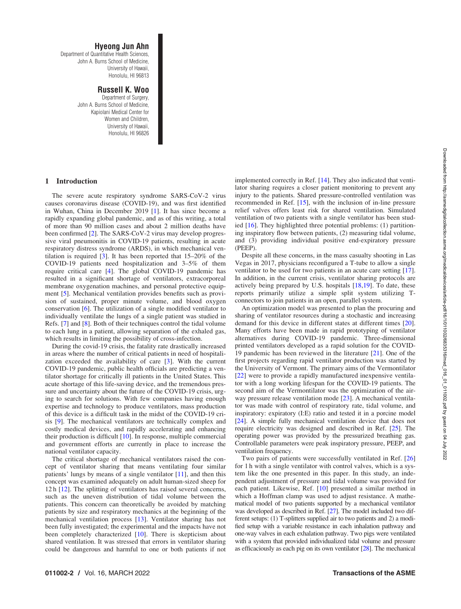#### Hyeong Jun Ahn

Department of Quantitative Health Sciences, John A. Burns School of Medicine, University of Hawaii, Honolulu, HI 96813

#### Russell K. Woo

Department of Surgery, John A. Burns School of Medicine, Kapiolani Medical Center for Women and Children, University of Hawaii, Honolulu, HI 96826

#### 1 Introduction

The severe acute respiratory syndrome SARS-CoV-2 virus causes coronavirus disease (COVID-19), and was first identified in Wuhan, China in December 2019 [[1](#page-6-0)]. It has since become a rapidly expanding global pandemic, and as of this writing, a total of more than 90 million cases and about 2 million deaths have been confirmed [\[2\]](#page-6-0). The SARS-CoV-2 virus may develop progressive viral pneumonitis in COVID-19 patients, resulting in acute respiratory distress syndrome (ARDS), in which mechanical ventilation is required  $\lceil 3 \rceil$ . It has been reported that  $15-20\%$  of the COVID-19 patients need hospitalization and 3–5% of them require critical care [[4](#page-6-0)]. The global COVID-19 pandemic has resulted in a significant shortage of ventilators, extracorporeal membrane oxygenation machines, and personal protective equipment [\[5](#page-6-0)]. Mechanical ventilation provides benefits such as provision of sustained, proper minute volume, and blood oxygen conservation [[6](#page-7-0)]. The utilization of a single modified ventilator to individually ventilate the lungs of a single patient was studied in Refs. [\[7](#page-7-0)] and [\[8\]](#page-7-0). Both of their techniques control the tidal volume to each lung in a patient, allowing separation of the exhaled gas, which results in limiting the possibility of cross-infection.

During the covid-19 crisis, the fatality rate drastically increased in areas where the number of critical patients in need of hospitalization exceeded the availability of care [\[3\]](#page-6-0). With the current COVID-19 pandemic, public health officials are predicting a ventilator shortage for critically ill patients in the United States. This acute shortage of this life-saving device, and the tremendous pressure and uncertainty about the future of the COVID-19 crisis, urging to search for solutions. With few companies having enough expertise and technology to produce ventilators, mass production of this device is a difficult task in the midst of the COVID-19 crisis [\[9\]](#page-7-0). The mechanical ventilators are technically complex and costly medical devices, and rapidly accelerating and enhancing their production is difficult [\[10](#page-7-0)]. In response, multiple commercial and government efforts are currently in place to increase the national ventilator capacity.

The critical shortage of mechanical ventilators raised the concept of ventilator sharing that means ventilating four similar patients' lungs by means of a single ventilator [[11\]](#page-7-0), and then this concept was examined adequately on adult human-sized sheep for 12 h [[12\]](#page-7-0). The splitting of ventilators has raised several concerns, such as the uneven distribution of tidal volume between the patients. This concern can theoretically be avoided by matching patients by size and respiratory mechanics at the beginning of the mechanical ventilation process [\[13](#page-7-0)]. Ventilator sharing has not been fully investigated; the experimental and the impacts have not been completely characterized [[10\]](#page-7-0). There is skepticism about shared ventilation. It was stressed that errors in ventilator sharing could be dangerous and harmful to one or both patients if not

implemented correctly in Ref. [[14\]](#page-7-0). They also indicated that ventilator sharing requires a closer patient monitoring to prevent any injury to the patients. Shared pressure-controlled ventilation was recommended in Ref. [[15\]](#page-7-0), with the inclusion of in-line pressure relief valves offers least risk for shared ventilation. Simulated ventilation of two patients with a single ventilator has been studied [[16\]](#page-7-0). They highlighted three potential problems: (1) partitioning inspiratory flow between patients, (2) measuring tidal volume, and (3) providing individual positive end-expiratory pressure (PEEP).

Despite all these concerns, in the mass casualty shooting in Las Vegas in 2017, physicians reconfigured a T-tube to allow a single ventilator to be used for two patients in an acute care setting [[17\]](#page-7-0). In addition, in the current crisis, ventilator sharing protocols are actively being prepared by U.S. hospitals [\[18,19](#page-7-0)]. To date, these reports primarily utilize a simple split system utilizing Tconnectors to join patients in an open, parallel system.

An optimization model was presented to plan the procuring and sharing of ventilator resources during a stochastic and increasing demand for this device in different states at different times [[20\]](#page-7-0). Many efforts have been made in rapid prototyping of ventilator alternatives during COVID-19 pandemic. Three-dimensional printed ventilators developed as a rapid solution for the COVID-19 pandemic has been reviewed in the literature [\[21](#page-7-0)]. One of the first projects regarding rapid ventilator production was started by the University of Vermont. The primary aims of the Vermontilator [[22](#page-7-0)] were to provide a rapidly manufactured inexpensive ventilator with a long working lifespan for the COVID-19 patients. The second aim of the Vermontilator was the optimization of the airway pressure release ventilation mode [\[23](#page-7-0)]. A mechanical ventilator was made with control of respiratory rate, tidal volume, and inspiratory: expiratory (I:E) ratio and tested it in a porcine model [[24\]](#page-7-0). A simple fully mechanical ventilation device that does not require electricity was designed and described in Ref. [\[25](#page-7-0)]. The operating power was provided by the pressurized breathing gas. Controllable parameters were peak inspiratory pressure, PEEP, and ventilation frequency.

Two pairs of patients were successfully ventilated in Ref. [\[26](#page-7-0)] for 1 h with a single ventilator with control valves, which is a system like the one presented in this paper. In this study, an independent adjustment of pressure and tidal volume was provided for each patient. Likewise, Ref. [[10\]](#page-7-0) presented a similar method in which a Hoffman clamp was used to adjust resistance. A mathematical model of two patients supported by a mechanical ventilator was developed as described in Ref. [[27](#page-7-0)]. The model included two different setups: (1) T-splitters supplied air to two patients and 2) a modified setup with a variable resistance in each inhalation pathway and one-way valves in each exhalation pathway. Two pigs were ventilated with a system that provided individualized tidal volume and pressure as efficaciously as each pig on its own ventilator [\[28](#page-7-0)]. The mechanical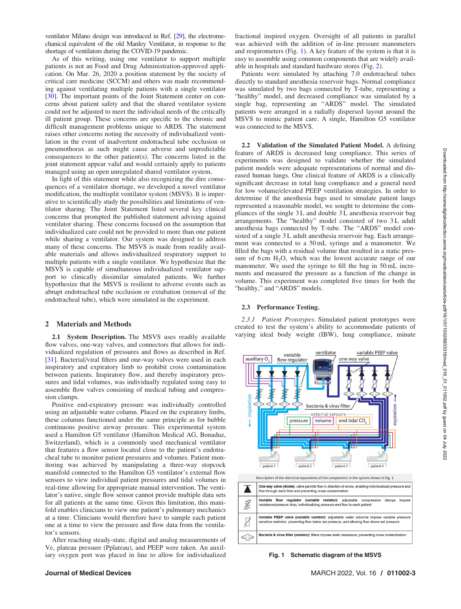ventilator Milano design was introduced in Ref. [[29](#page-7-0)], the electromechanical equivalent of the old Manley Ventilator, in response to the shortage of ventilators during the COVID-19 pandemic.

As of this writing, using one ventilator to support multiple patients is not an Food and Drug Administration-approved application. On Mar. 26, 2020 a position statement by the society of critical care medicine (SCCM) and others was made recommending against ventilating multiple patients with a single ventilator [[30](#page-7-0)]. The important points of the Joint Statement center on concerns about patient safety and that the shared ventilator system could not be adjusted to meet the individual needs of the critically ill patient group. These concerns are specific to the chronic and difficult management problems unique to ARDS. The statement raises other concerns noting the necessity of individualized ventilation in the event of inadvertent endotracheal tube occlusion or pneumothorax as such might cause adverse and unpredictable consequences to the other patient(s). The concerns listed in the joint statement appear valid and would certainly apply to patients managed using an open unregulated shared ventilator system.

In light of this statement while also recognizing the dire consequences of a ventilator shortage, we developed a novel ventilator modification, the multisplit ventilator system (MSVS). It is imperative to scientifically study the possibilities and limitations of ventilator sharing. The Joint Statement listed several key clinical concerns that prompted the published statement advising against ventilator sharing. These concerns focused on the assumption that individualized care could not be provided to more than one patient while sharing a ventilator. Our system was designed to address many of these concerns. The MSVS is made from readily available materials and allows individualized respiratory support to multiple patients with a single ventilator. We hypothesize that the MSVS is capable of simultaneous individualized ventilator support to clinically dissimilar simulated patients. We further hypothesize that the MSVS is resilient to adverse events such as abrupt endotracheal tube occlusion or extubation (removal of the endotracheal tube), which were simulated in the experiment.

#### 2 Materials and Methods

2.1 System Description. The MSVS uses readily available flow valves, one-way valves, and connectors that allows for individualized regulation of pressures and flows as described in Ref. [[31](#page-7-0)]. Bacterial/viral filters and one-way valves were used in each inspiratory and expiratory limb to prohibit cross contamination between patients. Inspiratory flow, and thereby inspiratory pressures and tidal volumes, was individually regulated using easy to assemble flow valves consisting of medical tubing and compression clamps.

Positive end-expiratory pressure was individually controlled using an adjustable water column. Placed on the expiratory limbs, these columns functioned under the same principle as for bubble continuous positive airway pressure. This experimental system used a Hamilton G5 ventilator (Hamilton Medical AG, Bonaduz, Switzerland), which is a commonly used mechanical ventilator that features a flow sensor located close to the patient's endotracheal tube to monitor patient pressures and volumes. Patient monitoring was achieved by manipulating a three-way stopcock manifold connected to the Hamilton G5 ventilator's external flow sensors to view individual patient pressures and tidal volumes in real-time allowing for appropriate manual intervention. The ventilator's native, single flow sensor cannot provide multiple data sets for all patients at the same time. Given this limitation, this manifold enables clinicians to view one patient's pulmonary mechanics at a time. Clinicians would therefore have to sample each patient one at a time to view the pressure and flow data from the ventilator's sensors.

After reaching steady-state, digital and analog measurements of Ve, plateau pressure (Pplateau), and PEEP were taken. An auxiliary oxygen port was placed in line to allow for individualized

fractional inspired oxygen. Oversight of all patients in parallel was achieved with the addition of in-line pressure manometers and respirometers (Fig. 1). A key feature of the system is that it is easy to assemble using common components that are widely available in hospitals and standard hardware stores (Fig. [2\)](#page-3-0).

Patients were simulated by attaching 7.0 endotracheal tubes directly to standard anesthesia reservoir bags. Normal compliance was simulated by two bags connected by T-tube, representing a "healthy" model, and decreased compliance was simulated by a single bag, representing an "ARDS" model. The simulated patients were arranged in a radially dispersed layout around the MSVS to mimic patient care. A single, Hamilton G5 ventilator was connected to the MSVS.

2.2 Validation of the Simulated Patient Model. A defining feature of ARDS is decreased lung compliance. This series of experiments was designed to validate whether the simulated patient models were adequate representations of normal and diseased human lungs. One clinical feature of ARDS is a clinically significant decrease in total lung compliance and a general need for low volume/elevated PEEP ventilation strategies. In order to determine if the anesthesia bags used to simulate patient lungs represented a reasonable model, we sought to determine the compliances of the single 3 L and double 3 L anesthesia reservoir bag arrangements. The "healthy" model consisted of two 3 L adult anesthesia bags connected by T-tube. The "ARDS" model consisted of a single 3 L adult anesthesia reservoir bag. Each arrangement was connected to a 50 mL syringe and a manometer. We filled the bags with a residual volume that resulted in a static pressure of 6 cm  $H_2O$ , which was the lowest accurate range of our manometer. We used the syringe to fill the bag in 50 mL increments and measured the pressure as a function of the change in volume. This experiment was completed five times for both the "healthy," and "ARDS" models.

#### 2.3 Performance Testing.

2.3.1 Patient Prototypes. Simulated patient prototypes were created to test the system's ability to accommodate patients of varying ideal body weight (IBW), lung compliance, minute



Fig. 1 Schematic diagram of the MSVS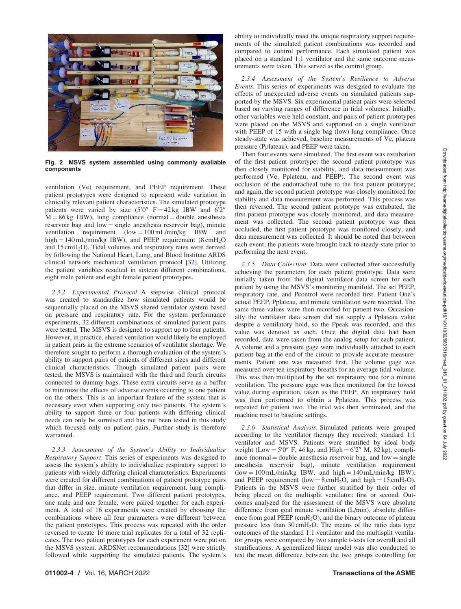<span id="page-3-0"></span>

Fig. 2 MSVS system assembled using commonly available components

ventilation (Ve) requirement, and PEEP requirement. These patient prototypes were designed to represent wide variation in clinically relevant patient characteristics. The simulated prototype patients were varied by size  $(5'0'' \text{ F} = 42 \text{ kg} \text{ IBW}$  and  $6'2''$  $M = 86$  kg IBW), lung compliance (normal = double anesthesia reservoir bag and  $low = single$  anesthesia reservoir bag), minute ventilation requirement  $(low = 100 \text{ mL/min/kg}$  IBW and high =  $140$  mL/min/kg IBW), and PEEP requirement (8 cmH<sub>2</sub>O) and 15 cmH2O). Tidal volumes and respiratory rates were derived by following the National Heart, Lung, and Blood Institute ARDS clinical network mechanical ventilation protocol [[32\]](#page-7-0). Utilizing the patient variables resulted in sixteen different combinations, eight male patient and eight female patient prototypes.

2.3.2 Experimental Protocol. A stepwise clinical protocol was created to standardize how simulated patients would be sequentially placed on the MSVS shared ventilator system based on pressure and respiratory rate. For the system performance experiments, 32 different combinations of simulated patient pairs were tested. The MSVS is designed to support up to four patients. However, in practice, shared ventilation would likely be employed in patient pairs in the extreme scenarios of ventilator shortage. We therefore sought to perform a thorough evaluation of the system's ability to support pairs of patients of different sizes and different clinical characteristics. Though simulated patient pairs were tested, the MSVS is maintained with the third and fourth circuits connected to dummy bags. These extra circuits serve as a buffer to minimize the effects of adverse events occurring to one patient on the others. This is an important feature of the system that is necessary even when supporting only two patients. The system's ability to support three or four patients with differing clinical needs can only be surmised and has not been tested in this study which focused only on patient pairs. Further study is therefore warranted.

2.3.3 Assessment of the System's Ability to Individualize Respiratory Support. This series of experiments was designed to assess the system's ability to individualize respiratory support to patients with widely differing clinical characteristics. Experiments were created for different combinations of patient prototype pairs that differ in size, minute ventilation requirement, lung compliance, and PEEP requirement. Two different patient prototypes, one male and one female, were paired together for each experiment. A total of 16 experiments were created by choosing the combinations where all four parameters were different between the patient prototypes. This process was repeated with the order reversed to create 16 more trial replicates for a total of 32 replicates. The two patient prototypes for each experiment were put on the MSVS system. ARDSNet recommendations [\[32](#page-7-0)] were strictly followed while supporting the simulated patients. The system's ability to individually meet the unique respiratory support requirements of the simulated patient combinations was recorded and compared to control performance. Each simulated patient was placed on a standard 1:1 ventilator and the same outcome measurements were taken. This served as the control group.

2.3.4 Assessment of the System's Resilience to Adverse Events. This series of experiments was designed to evaluate the effects of unexpected adverse events on simulated patients supported by the MSVS. Six experimental patient pairs were selected based on varying ranges of difference in tidal volumes. Initially, other variables were held constant, and pairs of patient prototypes were placed on the MSVS and supported on a single ventilator with PEEP of 15 with a single bag (low) lung compliance. Once steady-state was achieved, baseline measurements of Ve, plateau pressure (Pplateau), and PEEP were taken.

Then four events were simulated. The first event was extubation of the first patient prototype; the second patient prototype was then closely monitored for stability, and data measurement was performed (Ve, Pplateau, and PEEP). The second event was occlusion of the endotracheal tube to the first patient prototype; and again, the second patient prototype was closely monitored for stability and data measurement was performed. This process was then reversed. The second patient prototype was extubated, the first patient prototype was closely monitored, and data measurement was collected. The second patient prototype was then occluded, the first patient prototype was monitored closely, and data measurement was collected. It should be noted that between each event, the patients were brought back to steady-state prior to performing the next event.

2.3.5 Data Collection. Data were collected after successfully achieving the parameters for each patient prototype. Data were initially taken from the digital ventilator data screen for each patient by using the MSVS's monitoring manifold. The set PEEP, respiratory rate, and Pcontrol were recorded first. Patient One's actual PEEP, Pplateau, and minute ventilation were recorded. The same three values were then recorded for patient two. Occasionally the ventilator data screen did not supply a Pplateau value despite a ventilatory hold, so the Ppeak was recorded, and this value was denoted as such. Once the digital data had been recorded, data were taken from the analog setup for each patient. A volume and a pressure gage were individually attached to each patient bag at the end of the circuit to provide accurate measurements. Patient one was measured first. The volume gage was measured over ten inspiratory breaths for an average tidal volume. This was then multiplied by the set respiratory rate for a minute ventilation. The pressure gage was then monitored for the lowest value during expiration, taken as the PEEP. An inspiratory hold was then performed to obtain a Pplateau. This process was repeated for patient two. The trial was then terminated, and the machine reset to baseline settings.

2.3.6 Statistical Analysis. Simulated patients were grouped according to the ventilator therapy they received: standard 1:1 ventilator and MSVS. Patients were stratified by ideal body weight (Low =  $5'0''$  F, 46 kg, and High =  $6'2''$  M, 82 kg), compliance (normal  $=$  double anesthesia reservoir bag, and low  $=$  single anesthesia reservoir bag), minute ventilation requirement  $(low = 100 \text{ mL/min/kg}$  IBW, and high = 140 mL/min/kg IBW), and PEEP requirement (low =  $8 \text{ cm}H_2O$ , and high =  $15 \text{ cm}H_2O$ ). Patients in the MSVS were further stratified by their order of being placed on the multisplit ventilator: first or second. Outcomes analyzed for the assessment of the MSVS were absolute difference from goal minute ventilation (L/min), absolute difference from goal  $PEEP$  (cmH<sub>2</sub>O), and the binary outcome of plateau pressure less than  $30 \text{ cm} +12$ . The means of the ratio data type outcomes of the standard 1:1 ventilator and the multisplit ventilator groups were compared by two sample t-tests for overall and all stratifications. A generalized linear model was also conducted to test the mean difference between the two groups controlling for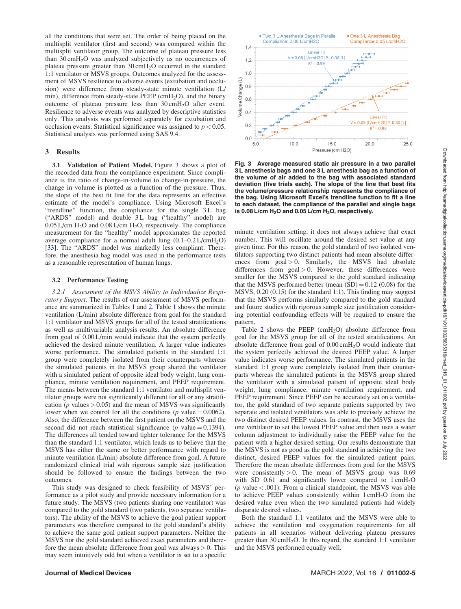all the conditions that were set. The order of being placed on the multisplit ventilator (first and second) was compared within the multisplit ventilator group. The outcome of plateau pressure less than 30 cmH<sub>2</sub>O was analyzed subjectively as no occurrences of plateau pressure greater than 30 cmH2O occurred in the standard 1:1 ventilator or MSVS groups. Outcomes analyzed for the assessment of MSVS resilience to adverse events (extubation and occlusion) were difference from steady-state minute ventilation (L/ min), difference from steady-state PEEP ( $cmH<sub>2</sub>O$ ), and the binary outcome of plateau pressure less than 30 cmH<sub>2</sub>O after event. Resilience to adverse events was analyzed by descriptive statistics only. This analysis was performed separately for extubation and occlusion events. Statistical significance was assigned to  $p < 0.05$ . Statistical analysis was performed using SAS 9.4.

#### 3 Results

3.1 Validation of Patient Model. Figure 3 shows a plot of the recorded data from the compliance experiment. Since compliance is the ratio of change-in-volume to change-in-pressure, the change in volume is plotted as a function of the pressure. Thus, the slope of the best fit line for the data represents an effective estimate of the model's compliance. Using Microsoft Excel's "trendline" function, the compliance for the single 3L bag ("ARDS" model) and double 3 L bag ("healthy" model) are  $0.05$  L/cm H<sub>2</sub>O and  $0.08$  L/cm H<sub>2</sub>O, respectively. The compliance measurement for the "healthy" model approximates the reported average compliance for a normal adult lung  $(0.1-0.2 \text{ L/cmH}_2\text{O})$ [[33](#page-7-0)]. The "ARDS" model was markedly less compliant. Therefore, the anesthesia bag model was used in the performance tests as a reasonable representation of human lungs.

#### 3.2 Performance Testing

3.2.1 Assessment of the MSVS Ability to Individualize Respiratory Support. The results of our assessment of MSVS performance are summarized in Tables [1](#page-5-0) and [2.](#page-5-0) Table [1](#page-5-0) shows the minute ventilation (L/min) absolute difference from goal for the standard 1:1 ventilator and MSVS groups for all of the tested stratifications as well as multivariable analysis results. An absolute difference from goal of 0.00 L/min would indicate that the system perfectly achieved the desired minute ventilation. A larger value indicates worse performance. The simulated patients in the standard 1:1 group were completely isolated from their counterparts whereas the simulated patients in the MSVS group shared the ventilator with a simulated patient of opposite ideal body weight, lung compliance, minute ventilation requirement, and PEEP requirement. The means between the standard 1:1 ventilator and multisplit ventilator groups were not significantly different for all or any stratification ( $p$  values  $> 0.05$ ) and the mean of MSVS was significantly lower when we control for all the conditions ( $p$  value = 0.0062). Also, the difference between the first patient on the MSVS and the second did not reach statistical significance ( $p$  value = 0.1394). The differences all tended toward tighter tolerance for the MSVS than the standard 1:1 ventilator, which leads us to believe that the MSVS has either the same or better performance with regard to minute ventilation (L/min) absolute difference from goal. A future randomized clinical trial with rigorous sample size justification should be followed to ensure the findings between the two outcomes.

This study was designed to check feasibility of MSVS' performance as a pilot study and provide necessary information for a future study. The MSVS (two patients sharing one ventilator) was compared to the gold standard (two patients, two separate ventilators). The ability of the MSVS to achieve the goal patient support parameters was therefore compared to the gold standard's ability to achieve the same goal patient support parameters. Neither the MSVS nor the gold standard achieved exact parameters and therefore the mean absolute difference from goal was always  $> 0$ . This may seem intuitively odd but when a ventilator is set to a specific



Fig. 3 Average measured static air pressure in a two parallel 3 L anesthesia bags and one 3 L anesthesia bag as a function of the volume of air added to the bag with associated standard deviation (five trials each). The slope of the line that best fits the volume/pressure relationship represents the compliance of the bag. Using Microsoft Excel's trendline function to fit a line to each dataset, the compliance of the parallel and single bags is 0.08 L/cm  $H_2O$  and 0.05 L/cm  $H_2O$ , respectively.

minute ventilation setting, it does not always achieve that exact number. This will oscillate around the desired set value at any given time. For this reason, the gold standard of two isolated ventilators supporting two distinct patients had mean absolute differences from  $\text{goal} > 0$ . Similarly, the MSVS had absolute differences from  $goal > 0$ . However, these differences were smaller for the MSVS compared to the gold standard indicating that the MSVS performed better (mean  $(SD) = 0.12$   $(0.08)$ ) for the MSVS, 0.20 (0.15) for the standard 1:1). This finding may suggest that the MSVS performs similarly compared to the gold standard and future studies with rigorous sample size justification considering potential confounding effects will be required to ensure the pattern.

Table [2](#page-5-0) shows the PEEP (cmH<sub>2</sub>O) absolute difference from goal for the MSVS group for all of the tested stratifications. An absolute difference from goal of 0.00 cmH2O would indicate that the system perfectly achieved the desired PEEP value. A larger value indicates worse performance. The simulated patients in the standard 1:1 group were completely isolated from their counterparts whereas the simulated patients in the MSVS group shared the ventilator with a simulated patient of opposite ideal body weight, lung compliance, minute ventilation requirement, and PEEP requirement. Since PEEP can be accurately set on a ventilator, the gold standard of two separate patients supported by two separate and isolated ventilators was able to precisely achieve the two distinct desired PEEP values. In contrast, the MSVS uses the one ventilator to set the lowest PEEP value and then uses a water column adjustment to individually raise the PEEP value for the patient with a higher desired setting. Our results demonstrate that the MSVS is not as good as the gold standard in achieving the two distinct, desired PEEP values for the simulated patient pairs. Therefore the mean absolute differences from goal for the MSVS were consistently  $> 0$ . The mean of MSVS group was 0.69 with SD 0.61 and significantly lower compared to  $1 \text{ cm}H_2O$ ( $p$  value  $< .001$ ). From a clinical standpoint, the MSVS was able to achieve PEEP values consistently within  $1 \text{ cm}$ H<sub>2</sub>O from the desired value even when the two simulated patients had widely disparate desired values.

Both the standard 1:1 ventilator and the MSVS were able to achieve the ventilation and oxygenation requirements for all patients in all scenarios without delivering plateau pressures greater than  $30 \text{ cm}H_2O$ . In this regard, the standard 1:1 ventilator and the MSVS performed equally well.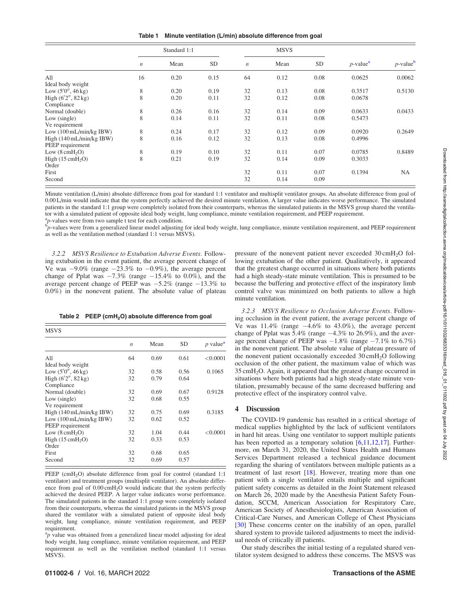Table 1 Minute ventilation (L/min) absolute difference from goal

<span id="page-5-0"></span>

|                                   |                  | Standard 1:1 |           | <b>MSVS</b>      |      |           |                                      |            |
|-----------------------------------|------------------|--------------|-----------|------------------|------|-----------|--------------------------------------|------------|
|                                   | $\boldsymbol{n}$ | Mean         | <b>SD</b> | $\boldsymbol{n}$ | Mean | <b>SD</b> | $p$ -value <sup><math>a</math></sup> | $p$ -value |
| All                               | 16               | 0.20         | 0.15      | 64               | 0.12 | 0.08      | 0.0625                               | 0.0062     |
| Ideal body weight                 |                  |              |           |                  |      |           |                                      |            |
| Low $(5'0'', 46 \text{ kg})$      | 8                | 0.20         | 0.19      | 32               | 0.13 | 0.08      | 0.3517                               | 0.5130     |
| High $(6'2'', 82 \text{ kg})$     | 8                | 0.20         | 0.11      | 32               | 0.12 | 0.08      | 0.0678                               |            |
| Compliance                        |                  |              |           |                  |      |           |                                      |            |
| Normal (double)                   | 8                | 0.26         | 0.16      | 32               | 0.14 | 0.09      | 0.0633                               | 0.0433     |
| Low (single)                      | 8                | 0.14         | 0.11      | 32               | 0.11 | 0.08      | 0.5473                               |            |
| Ve requirement                    |                  |              |           |                  |      |           |                                      |            |
| Low $(100 \text{ mL/min/kg IBW})$ | 8                | 0.24         | 0.17      | 32               | 0.12 | 0.09      | 0.0920                               | 0.2649     |
| High (140 mL/min/kg IBW)          | 8                | 0.16         | 0.12      | 32               | 0.13 | 0.08      | 0.4996                               |            |
| PEEP requirement                  |                  |              |           |                  |      |           |                                      |            |
| Low $(8 \text{ cmH}_2O)$          | 8                | 0.19         | 0.10      | 32               | 0.11 | 0.07      | 0.0785                               | 0.8489     |
| High $(15 \text{ cmH}_2O)$        | 8                | 0.21         | 0.19      | 32               | 0.14 | 0.09      | 0.3033                               |            |
| Order                             |                  |              |           |                  |      |           |                                      |            |
| First                             |                  |              |           | 32               | 0.11 | 0.07      | 0.1394                               | NA         |
| Second                            |                  |              |           | 32               | 0.14 | 0.09      |                                      |            |

Minute ventilation (L/min) absolute difference from goal for standard 1:1 ventilator and multisplit ventilator groups. An absolute difference from goal of 0.00 L/min would indicate that the system perfectly achieved the desired minute ventilation. A larger value indicates worse performance. The simulated patients in the standard 1:1 group were completely isolated from their counterparts, whereas the simulated patients in the MSVS group shared the ventilator with a simulated patient of opposite ideal body weight, lung compliance, minute ventilation requirement, and PEEP requirement.

 ${}_{p}^{a}p$ -values were from two sample t test for each condition.

 $\bar{p}_p$ -values were from a generalized linear model adjusting for ideal body weight, lung compliance, minute ventilation requirement, and PEEP requirement as well as the ventilation method (standard 1:1 versus MSVS).

3.2.2 MSVS Resilience to Extubation Adverse Events. Following extubation in the event patient, the average percent change of Ve was  $-9.0\%$  (range  $-23.3\%$  to  $-0.9\%$ ), the average percent change of Pplat was  $-7.3\%$  (range  $-15.4\%$  to 0.0%), and the average percent change of PEEP was  $-5.2\%$  (range  $-13.3\%$  to 0.0%) in the nonevent patient. The absolute value of plateau

Table 2 PEEP (cmH<sub>2</sub>O) absolute difference from goal

| <b>MSVS</b>                   |                  |      |      |                        |  |  |  |  |  |
|-------------------------------|------------------|------|------|------------------------|--|--|--|--|--|
|                               | $\boldsymbol{n}$ | Mean | SD   | $p$ value <sup>a</sup> |  |  |  |  |  |
| A11                           | 64               | 0.69 | 0.61 | < 0.0001               |  |  |  |  |  |
| Ideal body weight             |                  |      |      |                        |  |  |  |  |  |
| Low $(5'0'', 46 \text{ kg})$  | 32               | 0.58 | 0.56 | 0.1065                 |  |  |  |  |  |
| High $(6'2'', 82 \text{ kg})$ | 32               | 0.79 | 0.64 |                        |  |  |  |  |  |
| Compliance                    |                  |      |      |                        |  |  |  |  |  |
| Normal (double)               | 32               | 0.69 | 0.67 | 0.9128                 |  |  |  |  |  |
| Low (single)                  | 32               | 0.68 | 0.55 |                        |  |  |  |  |  |
| Ve requirement                |                  |      |      |                        |  |  |  |  |  |
| High (140 mL/min/kg IBW)      | 32               | 0.75 | 0.69 | 0.3185                 |  |  |  |  |  |
| Low (100 mL/min/kg IBW)       | 32               | 0.62 | 0.52 |                        |  |  |  |  |  |
| PEEP requirement              |                  |      |      |                        |  |  |  |  |  |
| Low $(8 \text{ cmH}_2O)$      | 32               | 1.04 | 0.44 | < 0.0001               |  |  |  |  |  |
| High $(15 \text{ cmH}_2O)$    | 32               | 0.33 | 0.53 |                        |  |  |  |  |  |
| Order                         |                  |      |      |                        |  |  |  |  |  |
| First                         | 32               | 0.68 | 0.65 |                        |  |  |  |  |  |
| Second                        | 32               | 0.69 | 0.57 |                        |  |  |  |  |  |
|                               |                  |      |      |                        |  |  |  |  |  |

PEEP (cmH<sub>2</sub>O) absolute difference from goal for control (standard 1:1 ventilator) and treatment groups (multisplit ventilator). An absolute difference from goal of  $0.00 \text{ cm}$ H<sub>2</sub>O would indicate that the system perfectly achieved the desired PEEP. A larger value indicates worse performance. The simulated patients in the standard 1:1 group were completely isolated from their counterparts, whereas the simulated patients in the MSVS group shared the ventilator with a simulated patient of opposite ideal body weight, lung compliance, minute ventilation requirement, and PEEP requirement.

 $\alpha_p$  value was obtained from a generalized linear model adjusting for ideal body weight, lung compliance, minute ventilation requirement, and PEEP requirement as well as the ventilation method (standard 1:1 versus MSVS).

pressure of the nonevent patient never exceeded 30 cmH2O following extubation of the other patient. Qualitatively, it appeared that the greatest change occurred in situations where both patients had a high steady-state minute ventilation. This is presumed to be because the buffering and protective effect of the inspiratory limb control valve was minimized on both patients to allow a high minute ventilation.

3.2.3 MSVS Resilience to Occlusion Adverse Events. Following occlusion in the event patient, the average percent change of Ve was  $11.4\%$  (range  $-4.6\%$  to  $43.0\%$ ), the average percent change of Pplat was  $5.4\%$  (range  $-4.3\%$  to  $26.9\%$ ), and the average percent change of PEEP was  $-1.8\%$  (range  $-7.1\%$  to 6.7%) in the nonevent patient. The absolute value of plateau pressure of the nonevent patient occasionally exceeded  $30 \text{ cm}H_2O$  following occlusion of the other patient, the maximum value of which was 35 cmH2O. Again, it appeared that the greatest change occurred in situations where both patients had a high steady-state minute ventilation, presumably because of the same decreased buffering and protective effect of the inspiratory control valve.

#### 4 Discussion

The COVID-19 pandemic has resulted in a critical shortage of medical supplies highlighted by the lack of sufficient ventilators in hard hit areas. Using one ventilator to support multiple patients has been reported as a temporary solution  $[6,11,12,17]$  $[6,11,12,17]$  $[6,11,12,17]$  $[6,11,12,17]$ . Furthermore, on March 31, 2020, the United States Health and Humans Services Department released a technical guidance document regarding the sharing of ventilators between multiple patients as a treatment of last resort [[18\]](#page-7-0). However, treating more than one patient with a single ventilator entails multiple and significant patient safety concerns as detailed in the Joint Statement released on March 26, 2020 made by the Anesthesia Patient Safety Foundation, SCCM, American Association for Respiratory Care, American Society of Anesthesiologists, American Association of Critical-Care Nurses, and American College of Chest Physicians [[30](#page-7-0)] These concerns center on the inability of an open, parallel shared system to provide tailored adjustments to meet the individual needs of critically ill patients.

Our study describes the initial testing of a regulated shared ventilator system designed to address these concerns. The MSVS was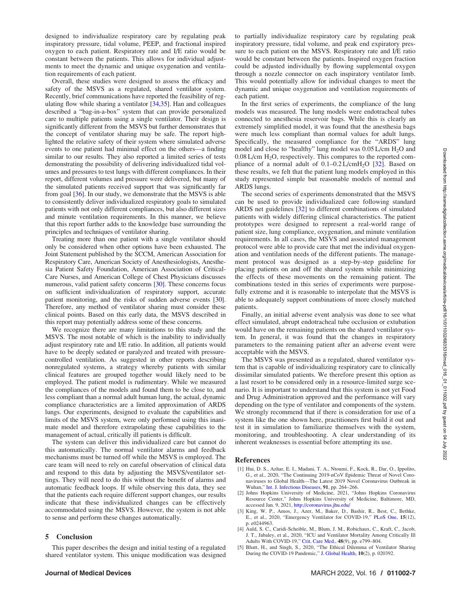<span id="page-6-0"></span>designed to individualize respiratory care by regulating peak inspiratory pressure, tidal volume, PEEP, and fractional inspired oxygen to each patient. Respiratory rate and I/E ratio would be constant between the patients. This allows for individual adjustments to meet the dynamic and unique oxygenation and ventilation requirements of each patient.

Overall, these studies were designed to assess the efficacy and safety of the MSVS as a regulated, shared ventilator system. Recently, brief communications have reported the feasibility of regulating flow while sharing a ventilator [\[34,35](#page-7-0)]. Han and colleagues described a "bag-in-a-box" system that can provide personalized care to multiple patients using a single ventilator. Their design is significantly different from the MSVS but further demonstrates that the concept of ventilator sharing may be safe. The report highlighted the relative safety of their system where simulated adverse events to one patient had minimal effect on the others—a finding similar to our results. They also reported a limited series of tests demonstrating the possibility of delivering individualized tidal volumes and pressures to test lungs with different compliances. In their report, different volumes and pressure were delivered, but many of the simulated patients received support that was significantly far from goal [\[36\]](#page-7-0). In our study, we demonstrate that the MSVS is able to consistently deliver individualized respiratory goals to simulated patients with not only different compliances, but also different sizes and minute ventilation requirements. In this manner, we believe that this report further adds to the knowledge base surrounding the principles and techniques of ventilator sharing.

Treating more than one patient with a single ventilator should only be considered when other options have been exhausted. The Joint Statement published by the SCCM, American Association for Respiratory Care, American Society of Anesthesiologists, Anesthesia Patient Safety Foundation, American Association of Critical-Care Nurses, and American College of Chest Physicians discusses numerous, valid patient safety concerns [[30\]](#page-7-0). These concerns focus on sufficient individualization of respiratory support, accurate patient monitoring, and the risks of sudden adverse events [\[30\]](#page-7-0). Therefore, any method of ventilator sharing must consider these clinical points. Based on this early data, the MSVS described in this report may potentially address some of these concerns.

We recognize there are many limitations to this study and the MSVS. The most notable of which is the inability to individually adjust respiratory rate and I/E ratio. In addition, all patients would have to be deeply sedated or paralyzed and treated with pressurecontrolled ventilation. As suggested in other reports describing nonregulated systems, a strategy whereby patients with similar clinical features are grouped together would likely need to be employed. The patient model is rudimentary. While we measured the compliances of the models and found them to be close to, and less compliant than a normal adult human lung, the actual, dynamic compliance characteristics are a limited approximation of ARDS lungs. Our experiments, designed to evaluate the capabilities and limits of the MSVS system, were only performed using this inanimate model and therefore extrapolating these capabilities to the management of actual, critically ill patients is difficult.

The system can deliver this individualized care but cannot do this automatically. The normal ventilator alarms and feedback mechanisms must be turned off while the MSVS is employed. The care team will need to rely on careful observation of clinical data and respond to this data by adjusting the MSVS/ventilator settings. They will need to do this without the benefit of alarms and automatic feedback loops. If while observing this data, they see that the patients each require different support changes, our results indicate that these individualized changes can be effectively accommodated using the MSVS. However, the system is not able to sense and perform these changes automatically.

#### 5 Conclusion

This paper describes the design and initial testing of a regulated shared ventilator system. This unique modification was designed to partially individualize respiratory care by regulating peak inspiratory pressure, tidal volume, and peak end expiratory pressure to each patient on the MSVS. Respiratory rate and I/E ratio would be constant between the patients. Inspired oxygen fraction could be adjusted individually by flowing supplemental oxygen through a nozzle connector on each inspiratory ventilator limb. This would potentially allow for individual changes to meet the dynamic and unique oxygenation and ventilation requirements of each patient.

In the first series of experiments, the compliance of the lung models was measured. The lung models were endotracheal tubes connected to anesthesia reservoir bags. While this is clearly an extremely simplified model, it was found that the anesthesia bags were much less compliant than normal values for adult lungs. Specifically, the measured compliance for the "ARDS" lung model and close to "healthy" lung model was  $0.05$  L/cm H<sub>2</sub>O and  $0.08$  L/cm  $H<sub>2</sub>O$ , respectively. This compares to the reported compliance of a normal adult of  $0.1 - 0.2$  L/cmH<sub>2</sub>O [\[32](#page-7-0)]. Based on these results, we felt that the patient lung models employed in this study represented simple but reasonable models of normal and ARDS lungs.

The second series of experiments demonstrated that the MSVS can be used to provide individualized care following standard ARDS net guidelines [[32\]](#page-7-0) to different combinations of simulated patients with widely differing clinical characteristics. The patient prototypes were designed to represent a real-world range of patient size, lung compliance, oxygenation, and minute ventilation requirements. In all cases, the MSVS and associated management protocol were able to provide care that met the individual oxygenation and ventilation needs of the different patients. The management protocol was designed as a step-by-step guideline for placing patients on and off the shared system while minimizing the effects of these movements on the remaining patient. The combinations tested in this series of experiments were purposefully extreme and it is reasonable to interpolate that the MSVS is able to adequately support combinations of more closely matched patients.

Finally, an initial adverse event analysis was done to see what effect simulated, abrupt endotracheal tube occlusion or extubation would have on the remaining patients on the shared ventilator system. In general, it was found that the changes in respiratory parameters to the remaining patient after an adverse event were acceptable with the MSVS.

The MSVS was presented as a regulated, shared ventilator system that is capable of individualizing respiratory care to clinically dissimilar simulated patients. We therefore present this option as a last resort to be considered only in a resource-limited surge scenario. It is important to understand that this system is not yet Food and Drug Administration approved and the performance will vary depending on the type of ventilator and components of the system. We strongly recommend that if there is consideration for use of a system like the one shown here, practitioners first build it out and test it in simulation to familiarize themselves with the system, monitoring, and troubleshooting. A clear understanding of its inherent weaknesses is essential before attempting its use.

#### References

- [1] Hui, D. S., Azhar, E. I., Madani, T. A., Ntoumi, F., Kock, R., Dar, O., Ippolito, G., et al., 2020, "The Continuing 2019-nCoV Epidemic Threat of Novel Coronaviruses to Global Health—The Latest 2019 Novel Coronavirus Outbreak in Wuhan," [Int. J. Infectious Diseases,](http://dx.doi.org/10.1016/j.ijid.2020.01.009) 91, pp. 264–266.
- [2] Johns Hopkins University of Medicine, 2021, "Johns Hopkins Coronavirus Resource Center," Johns Hopkins University of Medicine, Baltimore, MD, accessed Jan. 9, 2021, <http://coronavirus.jhu.edu/>
- [3] King, W. P., Amos, J., Azer, M., Baker, D., Bashir, R., Best, C., Bethke, E., et al., 2020, "Emergency Ventilator for COVID-19," [PLoS One,](http://dx.doi.org/10.1371/journal.pone.0244963) 15(12), p. e0244963.
- [4] Auld, S. C., Caridi-Scheible, M., Blum, J. M., Robichaux, C., Kraft, C., Jacob, J. T., Jabaley, et al., 2020, "ICU and Ventilator Mortality Among Critically Ill Adults With COVID-19," [Crit. Care Med.](http://dx.doi.org/10.1097/CCM.0000000000004457), 48(9), pp. e799–804.
- [5] Bhatt, H., and Singh, S., 2020, "The Ethical Dilemma of Ventilator Sharing During the COVID-19 Pandemic," [J. Global Health](http://dx.doi.org/10.7189/jogh.10.020392), 10(2), p. 020392.